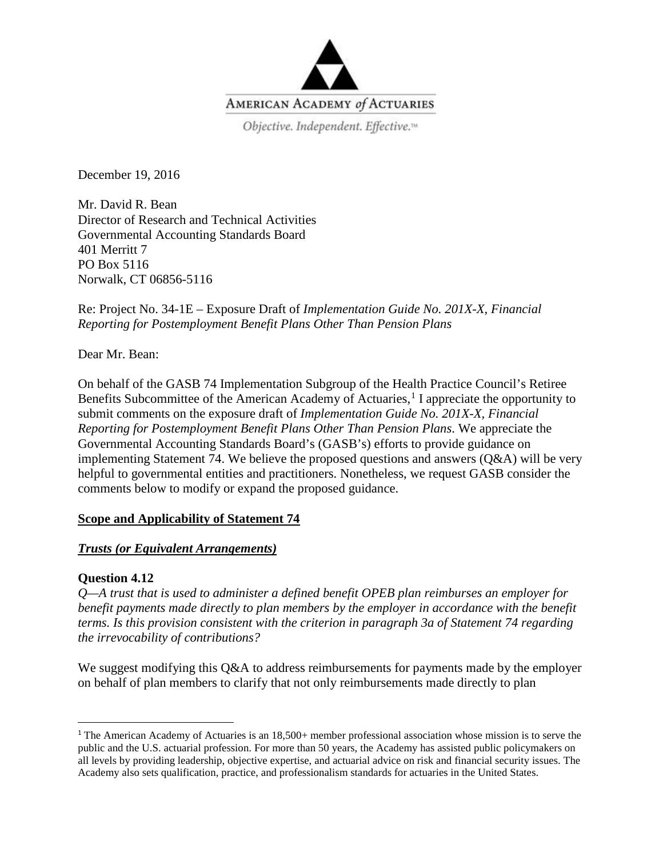

Objective. Independent. Effective.™

December 19, 2016

Mr. David R. Bean Director of Research and Technical Activities Governmental Accounting Standards Board 401 Merritt 7 PO Box 5116 Norwalk, CT 06856-5116

Re: Project No. 34-1E – Exposure Draft of *Implementation Guide No. 201X-X, Financial Reporting for Postemployment Benefit Plans Other Than Pension Plans*

Dear Mr. Bean:

On behalf of the GASB 74 Implementation Subgroup of the Health Practice Council's Retiree Benefits Subcommittee of the American Academy of Actuaries,<sup>[1](#page-0-0)</sup> I appreciate the opportunity to submit comments on the exposure draft of *Implementation Guide No. 201X-X, Financial Reporting for Postemployment Benefit Plans Other Than Pension Plans*. We appreciate the Governmental Accounting Standards Board's (GASB's) efforts to provide guidance on implementing Statement 74. We believe the proposed questions and answers (Q&A) will be very helpful to governmental entities and practitioners. Nonetheless, we request GASB consider the comments below to modify or expand the proposed guidance.

## **Scope and Applicability of Statement 74**

#### *Trusts (or Equivalent Arrangements)*

#### **Question 4.12**

*Q—A trust that is used to administer a defined benefit OPEB plan reimburses an employer for benefit payments made directly to plan members by the employer in accordance with the benefit terms. Is this provision consistent with the criterion in paragraph 3a of Statement 74 regarding the irrevocability of contributions?*

We suggest modifying this Q&A to address reimbursements for payments made by the employer on behalf of plan members to clarify that not only reimbursements made directly to plan

<span id="page-0-0"></span><sup>&</sup>lt;sup>1</sup> The American Academy of Actuaries is an 18,500+ member professional association whose mission is to serve the public and the U.S. actuarial profession. For more than 50 years, the Academy has assisted public policymakers on all levels by providing leadership, objective expertise, and actuarial advice on risk and financial security issues. The Academy also sets qualification, practice, and professionalism standards for actuaries in the United States.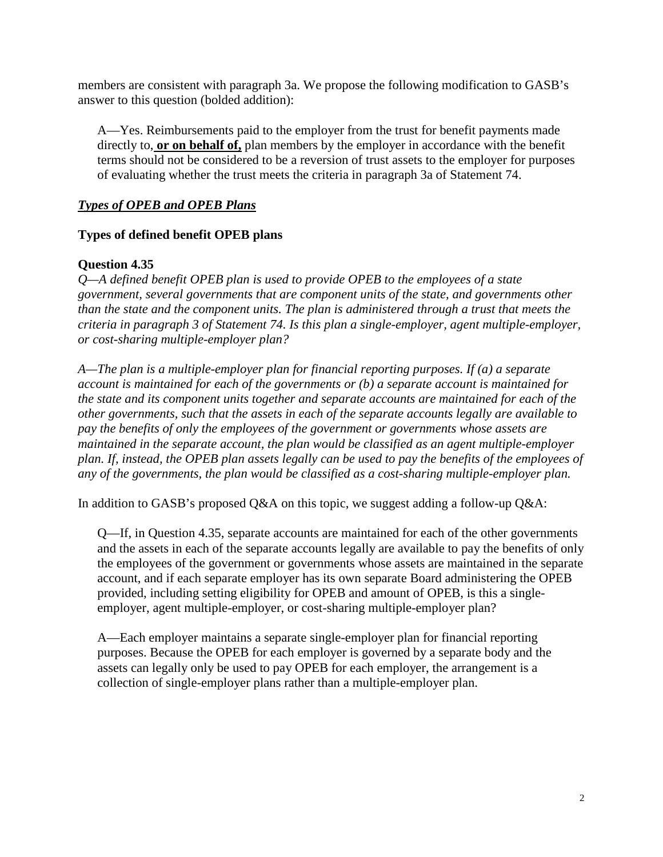members are consistent with paragraph 3a. We propose the following modification to GASB's answer to this question (bolded addition):

A—Yes. Reimbursements paid to the employer from the trust for benefit payments made directly to, **or on behalf of,** plan members by the employer in accordance with the benefit terms should not be considered to be a reversion of trust assets to the employer for purposes of evaluating whether the trust meets the criteria in paragraph 3a of Statement 74.

# *Types of OPEB and OPEB Plans*

## **Types of defined benefit OPEB plans**

#### **Question 4.35**

*Q—A defined benefit OPEB plan is used to provide OPEB to the employees of a state government, several governments that are component units of the state, and governments other than the state and the component units. The plan is administered through a trust that meets the criteria in paragraph 3 of Statement 74. Is this plan a single-employer, agent multiple-employer, or cost-sharing multiple-employer plan?* 

*A—The plan is a multiple-employer plan for financial reporting purposes. If (a) a separate account is maintained for each of the governments or (b) a separate account is maintained for the state and its component units together and separate accounts are maintained for each of the other governments, such that the assets in each of the separate accounts legally are available to pay the benefits of only the employees of the government or governments whose assets are maintained in the separate account, the plan would be classified as an agent multiple-employer plan. If, instead, the OPEB plan assets legally can be used to pay the benefits of the employees of any of the governments, the plan would be classified as a cost-sharing multiple-employer plan.*

In addition to GASB's proposed Q&A on this topic, we suggest adding a follow-up Q&A:

Q—If, in Question 4.35, separate accounts are maintained for each of the other governments and the assets in each of the separate accounts legally are available to pay the benefits of only the employees of the government or governments whose assets are maintained in the separate account, and if each separate employer has its own separate Board administering the OPEB provided, including setting eligibility for OPEB and amount of OPEB, is this a singleemployer, agent multiple-employer, or cost-sharing multiple-employer plan?

A—Each employer maintains a separate single-employer plan for financial reporting purposes. Because the OPEB for each employer is governed by a separate body and the assets can legally only be used to pay OPEB for each employer, the arrangement is a collection of single-employer plans rather than a multiple-employer plan.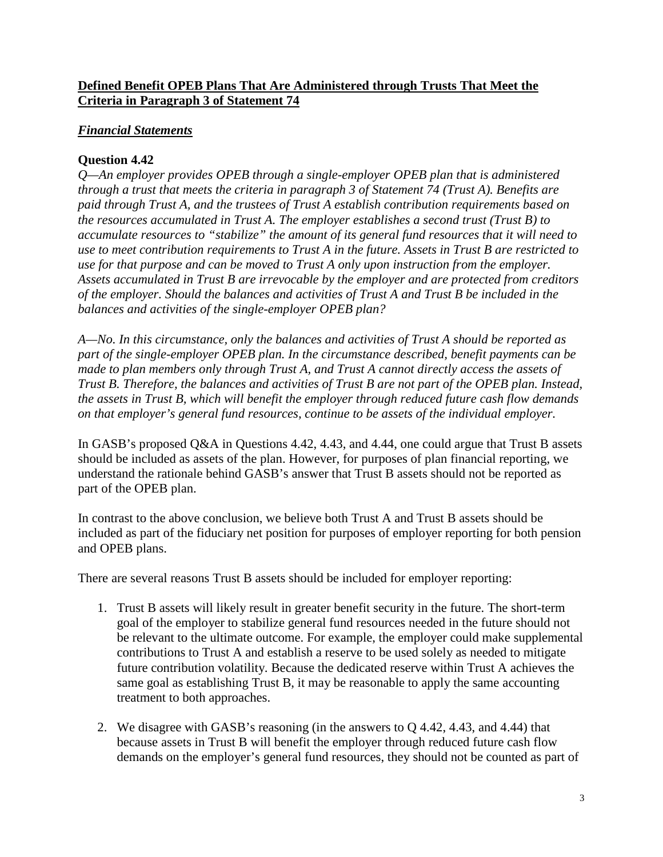## **Defined Benefit OPEB Plans That Are Administered through Trusts That Meet the Criteria in Paragraph 3 of Statement 74**

# *Financial Statements*

# **Question 4.42**

*Q—An employer provides OPEB through a single-employer OPEB plan that is administered through a trust that meets the criteria in paragraph 3 of Statement 74 (Trust A). Benefits are paid through Trust A, and the trustees of Trust A establish contribution requirements based on the resources accumulated in Trust A. The employer establishes a second trust (Trust B) to accumulate resources to "stabilize" the amount of its general fund resources that it will need to use to meet contribution requirements to Trust A in the future. Assets in Trust B are restricted to use for that purpose and can be moved to Trust A only upon instruction from the employer. Assets accumulated in Trust B are irrevocable by the employer and are protected from creditors of the employer. Should the balances and activities of Trust A and Trust B be included in the balances and activities of the single-employer OPEB plan?* 

*A—No. In this circumstance, only the balances and activities of Trust A should be reported as part of the single-employer OPEB plan. In the circumstance described, benefit payments can be made to plan members only through Trust A, and Trust A cannot directly access the assets of Trust B. Therefore, the balances and activities of Trust B are not part of the OPEB plan. Instead, the assets in Trust B, which will benefit the employer through reduced future cash flow demands on that employer's general fund resources, continue to be assets of the individual employer.*

In GASB's proposed Q&A in Questions 4.42, 4.43, and 4.44, one could argue that Trust B assets should be included as assets of the plan. However, for purposes of plan financial reporting, we understand the rationale behind GASB's answer that Trust B assets should not be reported as part of the OPEB plan.

In contrast to the above conclusion, we believe both Trust A and Trust B assets should be included as part of the fiduciary net position for purposes of employer reporting for both pension and OPEB plans.

There are several reasons Trust B assets should be included for employer reporting:

- 1. Trust B assets will likely result in greater benefit security in the future. The short-term goal of the employer to stabilize general fund resources needed in the future should not be relevant to the ultimate outcome. For example, the employer could make supplemental contributions to Trust A and establish a reserve to be used solely as needed to mitigate future contribution volatility. Because the dedicated reserve within Trust A achieves the same goal as establishing Trust B, it may be reasonable to apply the same accounting treatment to both approaches.
- 2. We disagree with GASB's reasoning (in the answers to Q 4.42, 4.43, and 4.44) that because assets in Trust B will benefit the employer through reduced future cash flow demands on the employer's general fund resources, they should not be counted as part of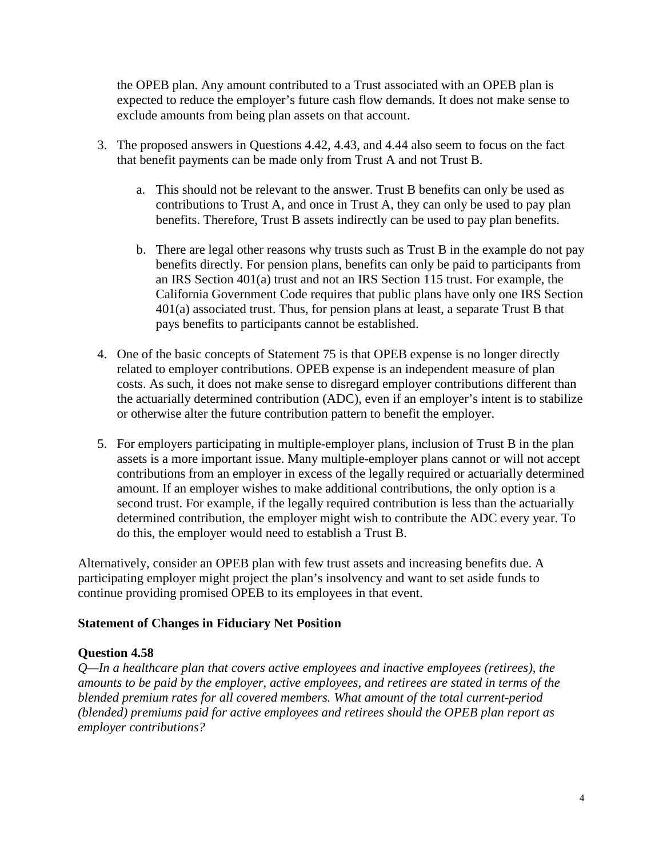the OPEB plan. Any amount contributed to a Trust associated with an OPEB plan is expected to reduce the employer's future cash flow demands. It does not make sense to exclude amounts from being plan assets on that account.

- 3. The proposed answers in Questions 4.42, 4.43, and 4.44 also seem to focus on the fact that benefit payments can be made only from Trust A and not Trust B.
	- a. This should not be relevant to the answer. Trust B benefits can only be used as contributions to Trust A, and once in Trust A, they can only be used to pay plan benefits. Therefore, Trust B assets indirectly can be used to pay plan benefits.
	- b. There are legal other reasons why trusts such as Trust B in the example do not pay benefits directly. For pension plans, benefits can only be paid to participants from an IRS Section 401(a) trust and not an IRS Section 115 trust. For example, the California Government Code requires that public plans have only one IRS Section 401(a) associated trust. Thus, for pension plans at least, a separate Trust B that pays benefits to participants cannot be established.
- 4. One of the basic concepts of Statement 75 is that OPEB expense is no longer directly related to employer contributions. OPEB expense is an independent measure of plan costs. As such, it does not make sense to disregard employer contributions different than the actuarially determined contribution (ADC), even if an employer's intent is to stabilize or otherwise alter the future contribution pattern to benefit the employer.
- 5. For employers participating in multiple-employer plans, inclusion of Trust B in the plan assets is a more important issue. Many multiple-employer plans cannot or will not accept contributions from an employer in excess of the legally required or actuarially determined amount. If an employer wishes to make additional contributions, the only option is a second trust. For example, if the legally required contribution is less than the actuarially determined contribution, the employer might wish to contribute the ADC every year. To do this, the employer would need to establish a Trust B.

Alternatively, consider an OPEB plan with few trust assets and increasing benefits due. A participating employer might project the plan's insolvency and want to set aside funds to continue providing promised OPEB to its employees in that event.

## **Statement of Changes in Fiduciary Net Position**

## **Question 4.58**

*Q—In a healthcare plan that covers active employees and inactive employees (retirees), the amounts to be paid by the employer, active employees, and retirees are stated in terms of the blended premium rates for all covered members. What amount of the total current-period (blended) premiums paid for active employees and retirees should the OPEB plan report as employer contributions?*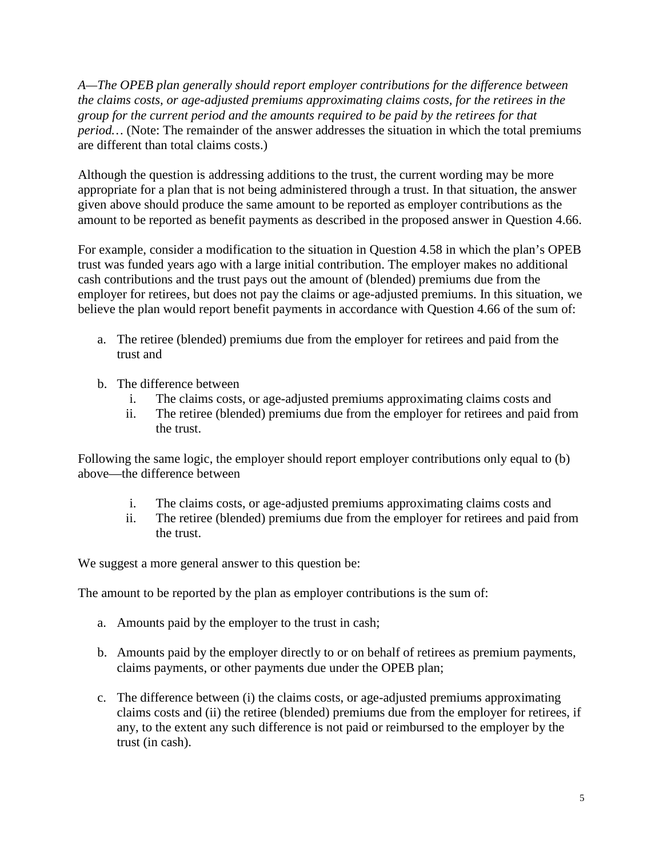*A—The OPEB plan generally should report employer contributions for the difference between the claims costs, or age-adjusted premiums approximating claims costs, for the retirees in the group for the current period and the amounts required to be paid by the retirees for that period...* (Note: The remainder of the answer addresses the situation in which the total premiums are different than total claims costs.)

Although the question is addressing additions to the trust, the current wording may be more appropriate for a plan that is not being administered through a trust. In that situation, the answer given above should produce the same amount to be reported as employer contributions as the amount to be reported as benefit payments as described in the proposed answer in Question 4.66.

For example, consider a modification to the situation in Question 4.58 in which the plan's OPEB trust was funded years ago with a large initial contribution. The employer makes no additional cash contributions and the trust pays out the amount of (blended) premiums due from the employer for retirees, but does not pay the claims or age-adjusted premiums. In this situation, we believe the plan would report benefit payments in accordance with Question 4.66 of the sum of:

- a. The retiree (blended) premiums due from the employer for retirees and paid from the trust and
- b. The difference between
	- i. The claims costs, or age-adjusted premiums approximating claims costs and
	- ii. The retiree (blended) premiums due from the employer for retirees and paid from the trust.

Following the same logic, the employer should report employer contributions only equal to (b) above—the difference between

- i. The claims costs, or age-adjusted premiums approximating claims costs and
- ii. The retiree (blended) premiums due from the employer for retirees and paid from the trust.

We suggest a more general answer to this question be:

The amount to be reported by the plan as employer contributions is the sum of:

- a. Amounts paid by the employer to the trust in cash;
- b. Amounts paid by the employer directly to or on behalf of retirees as premium payments, claims payments, or other payments due under the OPEB plan;
- c. The difference between (i) the claims costs, or age-adjusted premiums approximating claims costs and (ii) the retiree (blended) premiums due from the employer for retirees, if any, to the extent any such difference is not paid or reimbursed to the employer by the trust (in cash).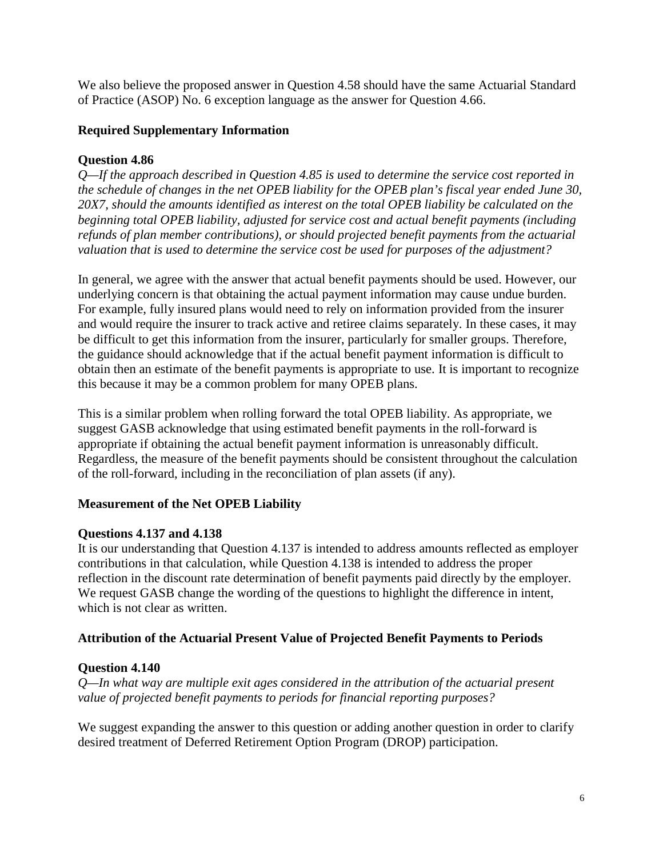We also believe the proposed answer in Question 4.58 should have the same Actuarial Standard of Practice (ASOP) No. 6 exception language as the answer for Question 4.66.

#### **Required Supplementary Information**

#### **Question 4.86**

*Q—If the approach described in Question 4.85 is used to determine the service cost reported in the schedule of changes in the net OPEB liability for the OPEB plan's fiscal year ended June 30, 20X7, should the amounts identified as interest on the total OPEB liability be calculated on the beginning total OPEB liability, adjusted for service cost and actual benefit payments (including refunds of plan member contributions), or should projected benefit payments from the actuarial valuation that is used to determine the service cost be used for purposes of the adjustment?*

In general, we agree with the answer that actual benefit payments should be used. However, our underlying concern is that obtaining the actual payment information may cause undue burden. For example, fully insured plans would need to rely on information provided from the insurer and would require the insurer to track active and retiree claims separately. In these cases, it may be difficult to get this information from the insurer, particularly for smaller groups. Therefore, the guidance should acknowledge that if the actual benefit payment information is difficult to obtain then an estimate of the benefit payments is appropriate to use. It is important to recognize this because it may be a common problem for many OPEB plans.

This is a similar problem when rolling forward the total OPEB liability. As appropriate, we suggest GASB acknowledge that using estimated benefit payments in the roll-forward is appropriate if obtaining the actual benefit payment information is unreasonably difficult. Regardless, the measure of the benefit payments should be consistent throughout the calculation of the roll-forward, including in the reconciliation of plan assets (if any).

#### **Measurement of the Net OPEB Liability**

#### **Questions 4.137 and 4.138**

It is our understanding that Question 4.137 is intended to address amounts reflected as employer contributions in that calculation, while Question 4.138 is intended to address the proper reflection in the discount rate determination of benefit payments paid directly by the employer. We request GASB change the wording of the questions to highlight the difference in intent, which is not clear as written.

#### **Attribution of the Actuarial Present Value of Projected Benefit Payments to Periods**

## **Question 4.140**

*Q—In what way are multiple exit ages considered in the attribution of the actuarial present value of projected benefit payments to periods for financial reporting purposes?*

We suggest expanding the answer to this question or adding another question in order to clarify desired treatment of Deferred Retirement Option Program (DROP) participation.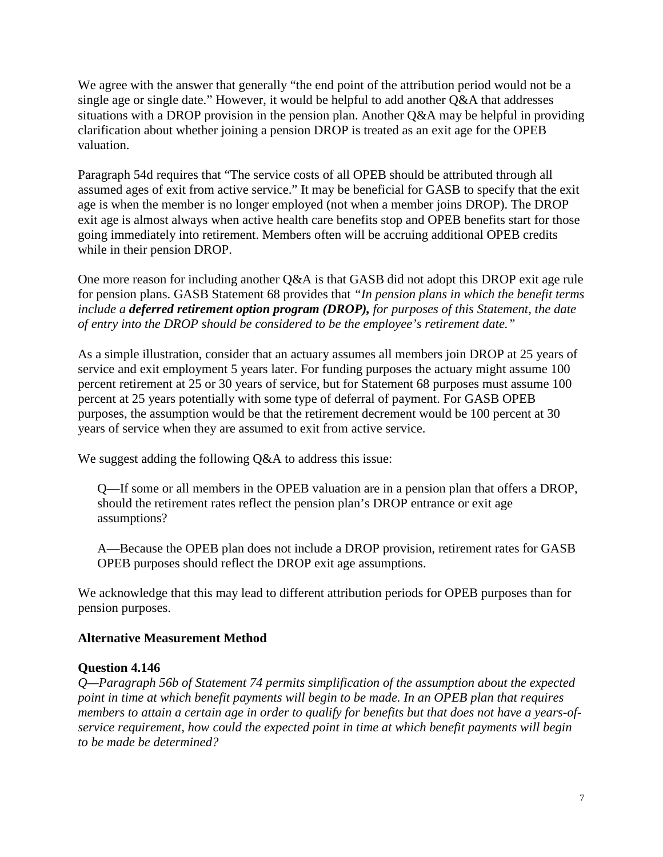We agree with the answer that generally "the end point of the attribution period would not be a single age or single date." However, it would be helpful to add another Q&A that addresses situations with a DROP provision in the pension plan. Another Q&A may be helpful in providing clarification about whether joining a pension DROP is treated as an exit age for the OPEB valuation.

Paragraph 54d requires that "The service costs of all OPEB should be attributed through all assumed ages of exit from active service." It may be beneficial for GASB to specify that the exit age is when the member is no longer employed (not when a member joins DROP). The DROP exit age is almost always when active health care benefits stop and OPEB benefits start for those going immediately into retirement. Members often will be accruing additional OPEB credits while in their pension DROP.

One more reason for including another Q&A is that GASB did not adopt this DROP exit age rule for pension plans. GASB Statement 68 provides that *"In pension plans in which the benefit terms include a deferred retirement option program (DROP), for purposes of this Statement, the date of entry into the DROP should be considered to be the employee's retirement date."*

As a simple illustration, consider that an actuary assumes all members join DROP at 25 years of service and exit employment 5 years later. For funding purposes the actuary might assume 100 percent retirement at 25 or 30 years of service, but for Statement 68 purposes must assume 100 percent at 25 years potentially with some type of deferral of payment. For GASB OPEB purposes, the assumption would be that the retirement decrement would be 100 percent at 30 years of service when they are assumed to exit from active service.

We suggest adding the following Q&A to address this issue:

Q—If some or all members in the OPEB valuation are in a pension plan that offers a DROP, should the retirement rates reflect the pension plan's DROP entrance or exit age assumptions?

A—Because the OPEB plan does not include a DROP provision, retirement rates for GASB OPEB purposes should reflect the DROP exit age assumptions.

We acknowledge that this may lead to different attribution periods for OPEB purposes than for pension purposes.

## **Alternative Measurement Method**

## **Question 4.146**

*Q—Paragraph 56b of Statement 74 permits simplification of the assumption about the expected point in time at which benefit payments will begin to be made. In an OPEB plan that requires members to attain a certain age in order to qualify for benefits but that does not have a years-ofservice requirement, how could the expected point in time at which benefit payments will begin to be made be determined?*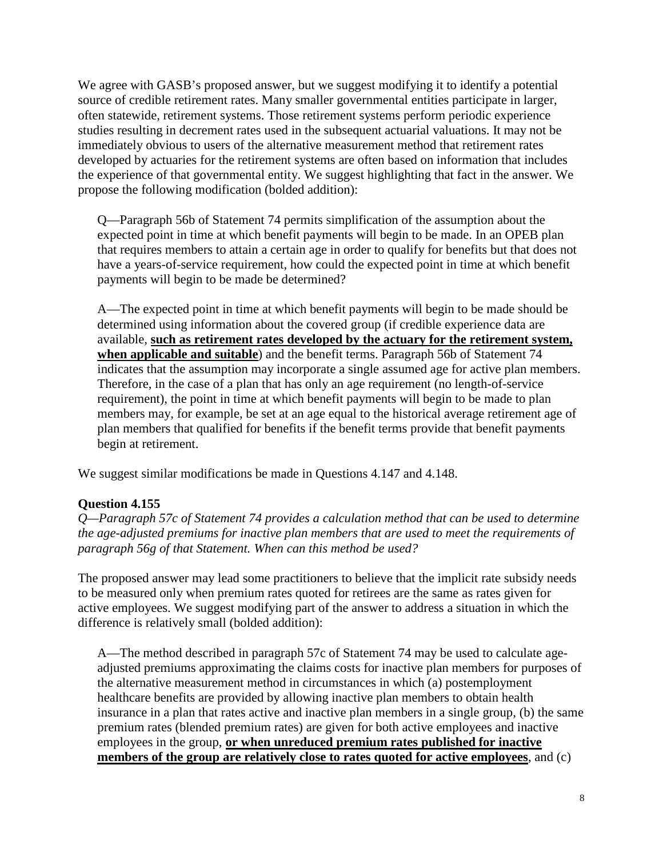We agree with GASB's proposed answer, but we suggest modifying it to identify a potential source of credible retirement rates. Many smaller governmental entities participate in larger, often statewide, retirement systems. Those retirement systems perform periodic experience studies resulting in decrement rates used in the subsequent actuarial valuations. It may not be immediately obvious to users of the alternative measurement method that retirement rates developed by actuaries for the retirement systems are often based on information that includes the experience of that governmental entity. We suggest highlighting that fact in the answer. We propose the following modification (bolded addition):

Q—Paragraph 56b of Statement 74 permits simplification of the assumption about the expected point in time at which benefit payments will begin to be made. In an OPEB plan that requires members to attain a certain age in order to qualify for benefits but that does not have a years-of-service requirement, how could the expected point in time at which benefit payments will begin to be made be determined?

A—The expected point in time at which benefit payments will begin to be made should be determined using information about the covered group (if credible experience data are available, **such as retirement rates developed by the actuary for the retirement system, when applicable and suitable**) and the benefit terms. Paragraph 56b of Statement 74 indicates that the assumption may incorporate a single assumed age for active plan members. Therefore, in the case of a plan that has only an age requirement (no length-of-service requirement), the point in time at which benefit payments will begin to be made to plan members may, for example, be set at an age equal to the historical average retirement age of plan members that qualified for benefits if the benefit terms provide that benefit payments begin at retirement.

We suggest similar modifications be made in Questions 4.147 and 4.148.

## **Question 4.155**

*Q—Paragraph 57c of Statement 74 provides a calculation method that can be used to determine the age-adjusted premiums for inactive plan members that are used to meet the requirements of paragraph 56g of that Statement. When can this method be used?*

The proposed answer may lead some practitioners to believe that the implicit rate subsidy needs to be measured only when premium rates quoted for retirees are the same as rates given for active employees. We suggest modifying part of the answer to address a situation in which the difference is relatively small (bolded addition):

A—The method described in paragraph 57c of Statement 74 may be used to calculate ageadjusted premiums approximating the claims costs for inactive plan members for purposes of the alternative measurement method in circumstances in which (a) postemployment healthcare benefits are provided by allowing inactive plan members to obtain health insurance in a plan that rates active and inactive plan members in a single group, (b) the same premium rates (blended premium rates) are given for both active employees and inactive employees in the group, **or when unreduced premium rates published for inactive members of the group are relatively close to rates quoted for active employees**, and (c)